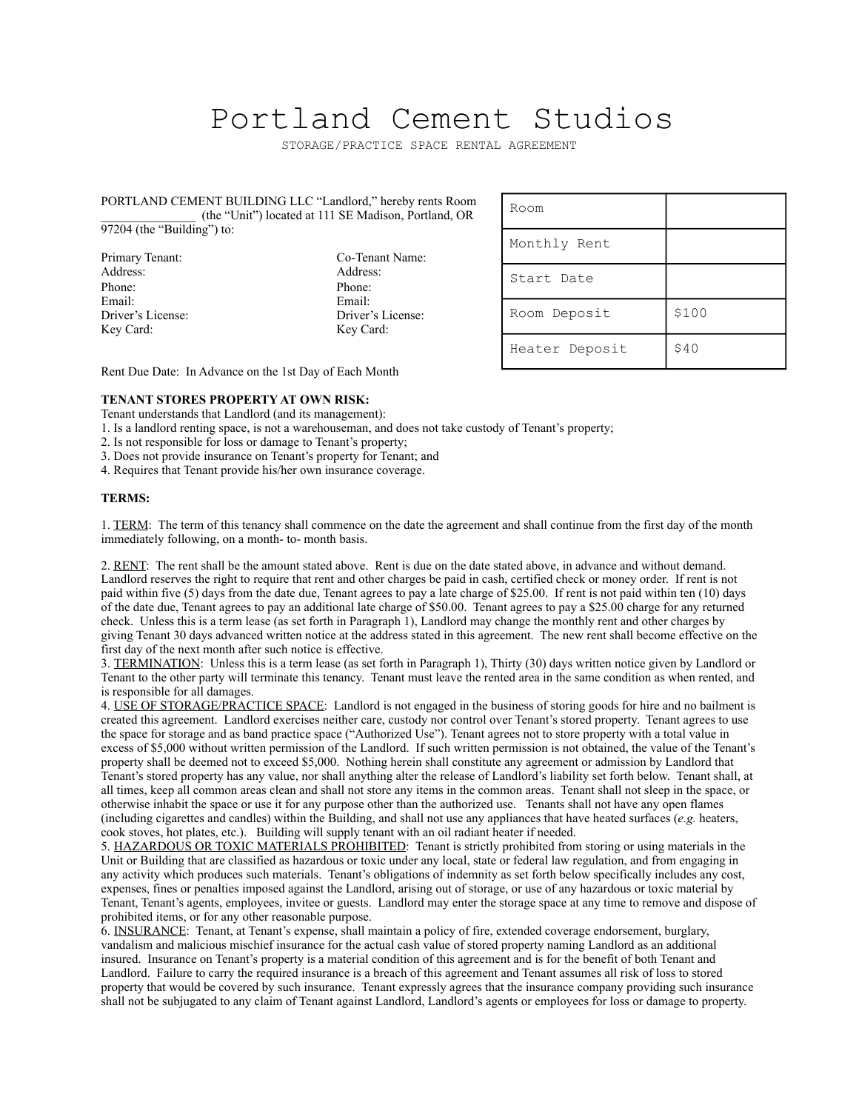## Portland Cement Studios

STORAGE/PRACTICE SPACE RENTAL AGREEMENT

## PORTLAND CEMENT BUILDING LLC "Landlord," hereby rents Room \_\_\_\_\_\_\_\_\_\_\_\_\_\_\_ (the "Unit") located at 111 SE Madison, Portland, OR 97204 (the "Building") to:

Phone: Phone: Email: Email: Key Card: Key Card:

Primary Tenant: Co-Tenant Name: Address: Address: Address: Driver's License: Driver's License:

| Room           |       |
|----------------|-------|
| Monthly Rent   |       |
| Start Date     |       |
| Room Deposit   | \$100 |
| Heater Deposit | \$40  |

Rent Due Date: In Advance on the 1st Day of Each Month

## **TENANT STORES PROPERTY AT OWN RISK:**

Tenant understands that Landlord (and its management):

1. Is a landlord renting space, is not a warehouseman, and does not take custody of Tenant's property;

2. Is not responsible for loss or damage to Tenant's property;

3. Does not provide insurance on Tenant's property for Tenant; and

4. Requires that Tenant provide his/her own insurance coverage.

## **TERMS:**

1. TERM: The term of this tenancy shall commence on the date the agreement and shall continue from the first day of the month immediately following, on a month- to- month basis.

2. RENT: The rent shall be the amount stated above. Rent is due on the date stated above, in advance and without demand. Landlord reserves the right to require that rent and other charges be paid in cash, certified check or money order. If rent is not paid within five (5) days from the date due, Tenant agrees to pay a late charge of \$25.00. If rent is not paid within ten (10) days of the date due, Tenant agrees to pay an additional late charge of \$50.00. Tenant agrees to pay a \$25.00 charge for any returned check. Unless this is a term lease (as set forth in Paragraph 1), Landlord may change the monthly rent and other charges by giving Tenant 30 days advanced written notice at the address stated in this agreement. The new rent shall become effective on the first day of the next month after such notice is effective.

3. TERMINATION: Unless this is a term lease (as set forth in Paragraph 1), Thirty (30) days written notice given by Landlord or Tenant to the other party will terminate this tenancy. Tenant must leave the rented area in the same condition as when rented, and is responsible for all damages.

4. USE OF STORAGE/PRACTICE SPACE: Landlord is not engaged in the business of storing goods for hire and no bailment is created this agreement. Landlord exercises neither care, custody nor control over Tenant's stored property. Tenant agrees to use the space for storage and as band practice space ("Authorized Use"). Tenant agrees not to store property with a total value in excess of \$5,000 without written permission of the Landlord. If such written permission is not obtained, the value of the Tenant's property shall be deemed not to exceed \$5,000. Nothing herein shall constitute any agreement or admission by Landlord that Tenant's stored property has any value, nor shall anything alter the release of Landlord's liability set forth below. Tenant shall, at all times, keep all common areas clean and shall not store any items in the common areas. Tenant shall not sleep in the space, or otherwise inhabit the space or use it for any purpose other than the authorized use. Tenants shall not have any open flames (including cigarettes and candles) within the Building, and shall not use any appliances that have heated surfaces (*e.g.* heaters, cook stoves, hot plates, etc.). Building will supply tenant with an oil radiant heater if needed.

5. HAZARDOUS OR TOXIC MATERIALS PROHIBITED: Tenant is strictly prohibited from storing or using materials in the Unit or Building that are classified as hazardous or toxic under any local, state or federal law regulation, and from engaging in any activity which produces such materials. Tenant's obligations of indemnity as set forth below specifically includes any cost, expenses, fines or penalties imposed against the Landlord, arising out of storage, or use of any hazardous or toxic material by Tenant, Tenant's agents, employees, invitee or guests. Landlord may enter the storage space at any time to remove and dispose of prohibited items, or for any other reasonable purpose.

6. INSURANCE: Tenant, at Tenant's expense, shall maintain a policy of fire, extended coverage endorsement, burglary, vandalism and malicious mischief insurance for the actual cash value of stored property naming Landlord as an additional insured. Insurance on Tenant's property is a material condition of this agreement and is for the benefit of both Tenant and Landlord. Failure to carry the required insurance is a breach of this agreement and Tenant assumes all risk of loss to stored property that would be covered by such insurance. Tenant expressly agrees that the insurance company providing such insurance shall not be subjugated to any claim of Tenant against Landlord, Landlord's agents or employees for loss or damage to property.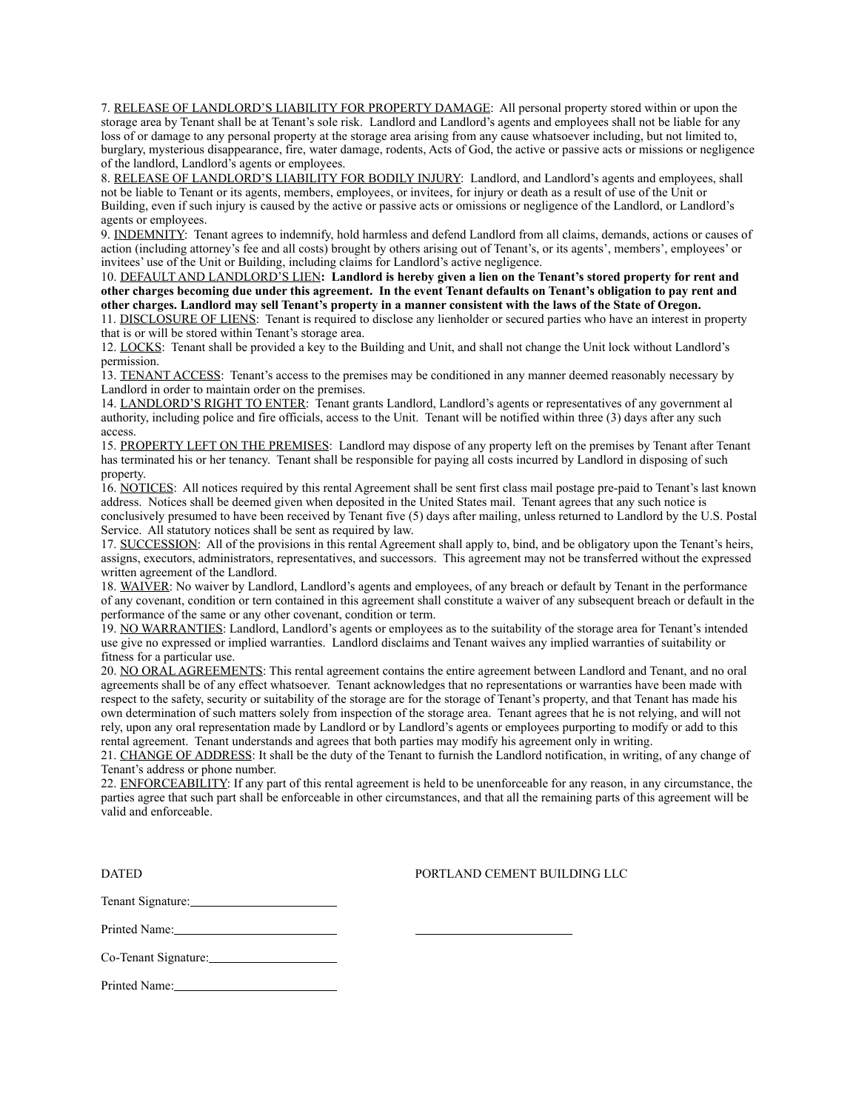7. RELEASE OF LANDLORD'S LIABILITY FOR PROPERTY DAMAGE: All personal property stored within or upon the storage area by Tenant shall be at Tenant's sole risk. Landlord and Landlord's agents and employees shall not be liable for any loss of or damage to any personal property at the storage area arising from any cause whatsoever including, but not limited to, burglary, mysterious disappearance, fire, water damage, rodents, Acts of God, the active or passive acts or missions or negligence of the landlord, Landlord's agents or employees.

8. RELEASE OF LANDLORD'S LIABILITY FOR BODILY INJURY: Landlord, and Landlord's agents and employees, shall not be liable to Tenant or its agents, members, employees, or invitees, for injury or death as a result of use of the Unit or Building, even if such injury is caused by the active or passive acts or omissions or negligence of the Landlord, or Landlord's agents or employees.

9. INDEMNITY: Tenant agrees to indemnify, hold harmless and defend Landlord from all claims, demands, actions or causes of action (including attorney's fee and all costs) brought by others arising out of Tenant's, or its agents', members', employees' or invitees' use of the Unit or Building, including claims for Landlord's active negligence.

10. DEFAULT AND LANDLORD'S LIEN**: Landlord is hereby given a lien on the Tenant's stored property for rent and other charges becoming due under this agreement. In the event Tenant defaults on Tenant's obligation to pay rent and other charges. Landlord may sell Tenant's property in a manner consistent with the laws of the State of Oregon.** 

11. DISCLOSURE OF LIENS: Tenant is required to disclose any lienholder or secured parties who have an interest in property that is or will be stored within Tenant's storage area.

12. LOCKS: Tenant shall be provided a key to the Building and Unit, and shall not change the Unit lock without Landlord's permission.

13. TENANT ACCESS: Tenant's access to the premises may be conditioned in any manner deemed reasonably necessary by Landlord in order to maintain order on the premises.

14. LANDLORD'S RIGHT TO ENTER: Tenant grants Landlord, Landlord's agents or representatives of any government al authority, including police and fire officials, access to the Unit. Tenant will be notified within three (3) days after any such access.

15. PROPERTY LEFT ON THE PREMISES: Landlord may dispose of any property left on the premises by Tenant after Tenant has terminated his or her tenancy. Tenant shall be responsible for paying all costs incurred by Landlord in disposing of such property.

16. NOTICES: All notices required by this rental Agreement shall be sent first class mail postage pre-paid to Tenant's last known address. Notices shall be deemed given when deposited in the United States mail. Tenant agrees that any such notice is conclusively presumed to have been received by Tenant five (5) days after mailing, unless returned to Landlord by the U.S. Postal Service. All statutory notices shall be sent as required by law.

17. SUCCESSION: All of the provisions in this rental Agreement shall apply to, bind, and be obligatory upon the Tenant's heirs, assigns, executors, administrators, representatives, and successors. This agreement may not be transferred without the expressed written agreement of the Landlord.

18. WAIVER: No waiver by Landlord, Landlord's agents and employees, of any breach or default by Tenant in the performance of any covenant, condition or tern contained in this agreement shall constitute a waiver of any subsequent breach or default in the performance of the same or any other covenant, condition or term.

19. NO WARRANTIES: Landlord, Landlord's agents or employees as to the suitability of the storage area for Tenant's intended use give no expressed or implied warranties. Landlord disclaims and Tenant waives any implied warranties of suitability or fitness for a particular use.

20. NO ORAL AGREEMENTS: This rental agreement contains the entire agreement between Landlord and Tenant, and no oral agreements shall be of any effect whatsoever. Tenant acknowledges that no representations or warranties have been made with respect to the safety, security or suitability of the storage are for the storage of Tenant's property, and that Tenant has made his own determination of such matters solely from inspection of the storage area. Tenant agrees that he is not relying, and will not rely, upon any oral representation made by Landlord or by Landlord's agents or employees purporting to modify or add to this rental agreement. Tenant understands and agrees that both parties may modify his agreement only in writing.

21. CHANGE OF ADDRESS: It shall be the duty of the Tenant to furnish the Landlord notification, in writing, of any change of Tenant's address or phone number.

22. ENFORCEABILITY: If any part of this rental agreement is held to be unenforceable for any reason, in any circumstance, the parties agree that such part shall be enforceable in other circumstances, and that all the remaining parts of this agreement will be valid and enforceable.

DATED PORTLAND CEMENT BUILDING LLC

Tenant Signature:

Printed Name:

Co-Tenant Signature:

Printed Name: